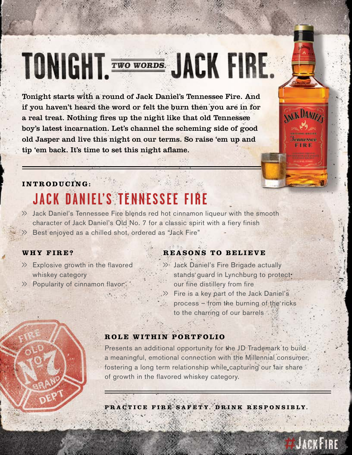# **TONIGHT. EWO WORDS:** JACK FIRE.

Tonight starts with a round of Jack Daniel's Tennessee Fire. And if you haven't heard the word or felt the burn then you are in for a real treat. Nothing fires up the night like that old Tennessee boy's latest incarnation. Let's channel the scheming side of good old Jasper and live this night on our terms. So raise 'em up and tip 'em back. It's time to set this night aflame.

#### **INTRODUCING:**

# **JACK DANIEL'S TENNESSEE FIRE**

>> Jack Daniel's Tennessee Fire blends red hot cinnamon liqueur with the smooth character of Jack Daniel's Old No. 7 for a classic spirit with a fiery finish Best enjoyed as a chilled shot, ordered as "Jack Fire"

- $\gg$  Explosive growth in the flavored whiskey category
- >> Popularity of cinnamon flavor

#### **WHY FIRE? REASONS TO BELIEVE**

>> Jack Daniel's Fire Brigade actually stands guard in Lynchburg to protect. our fine distillery from fire  $\gg$  Fire is a key part of the Jack Daniel's process – from the burning of the ricks to the charring of our barrels

#### **ROLE WITHIN PORTFOLIO**

Presents an additional opportunity for the JD Trademark to build a meaningful, emotional connection with the Millennial consumer, fostering a long term relationship while capturing our fair share of growth in the flavored whiskey category.

**PRACTICE FIRE SAFETY. DRINK RESPONSIBLY.**



**AKK DANZEZ** 

**Tennessee ETRE**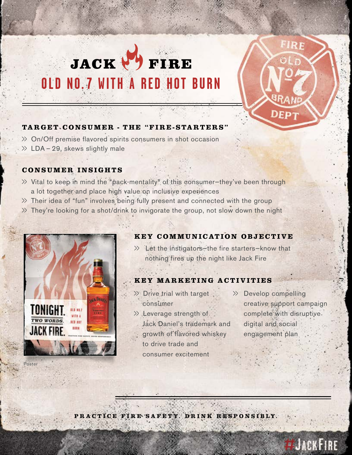# JACK & FIRE **OLD NO. 7 WITH A RED HOT BURN**



#### **TARGET CONSUMER - THE "FIRE-STARTERS"**

- >> On/Off premise flavored spirits consumers in shot occasion
- $\gg$  LDA 29, skews slightly male

#### **CONSUMER INSIGHTS**

- >> Vital to keep in mind the "pack-mentality" of this consumer—they've been through a lot together and place high value on inclusive experiences
- >> Their idea of "fun" involves being fully present and connected with the group
- >> They're looking for a shot/drink to invigorate the group, not slow down the night



#### **KEY COMMUNICATION OBJECTIVE**

 $\gg$  Let the instigators—the fire starters—know that nothing fires up the night like Jack Fire

#### **KEY MARKETING ACTIVITIES**

- $\gg$  Drive trial with target consumer
- >> Leverage strength of Jack Daniel's trademark and growth of flavored whiskey to drive trade and consumer excitement
- >> Develop compelling creative support campaign complete with disruptive digital and social engagement plan

**PRACTICE FIRE SAFETY. DRINK RESPONSIBLY.**

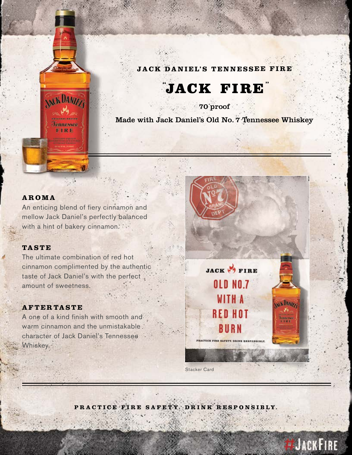#### **JACK DANIEL'S TENNESSEE FIRE**

### **"JACK FIRE**

70 proof

Made with Jack Daniel's Old No. 7 Tennessee Whiskey

#### **AROMA**

An enticing blend of fiery cinnamon and mellow Jack Daniel's perfectly balanced with a hint of bakery cinnamon.

**NKKDANIZI** 

Jennessee FIRE

#### **TASTE**

The ultimate combination of red hot cinnamon complimented by the authentic taste of Jack Daniel's with the perfect amount of sweetness.

#### **AFTERTASTE**

A one of a kind finish with smooth and warm cinnamon and the unmistakable character of Jack Daniel's Tennessee Whiskey.



JACKFIRE

Stacker Card

**PRACTICE FIRE SAFETY. DRINK RESPONSIBLY.**